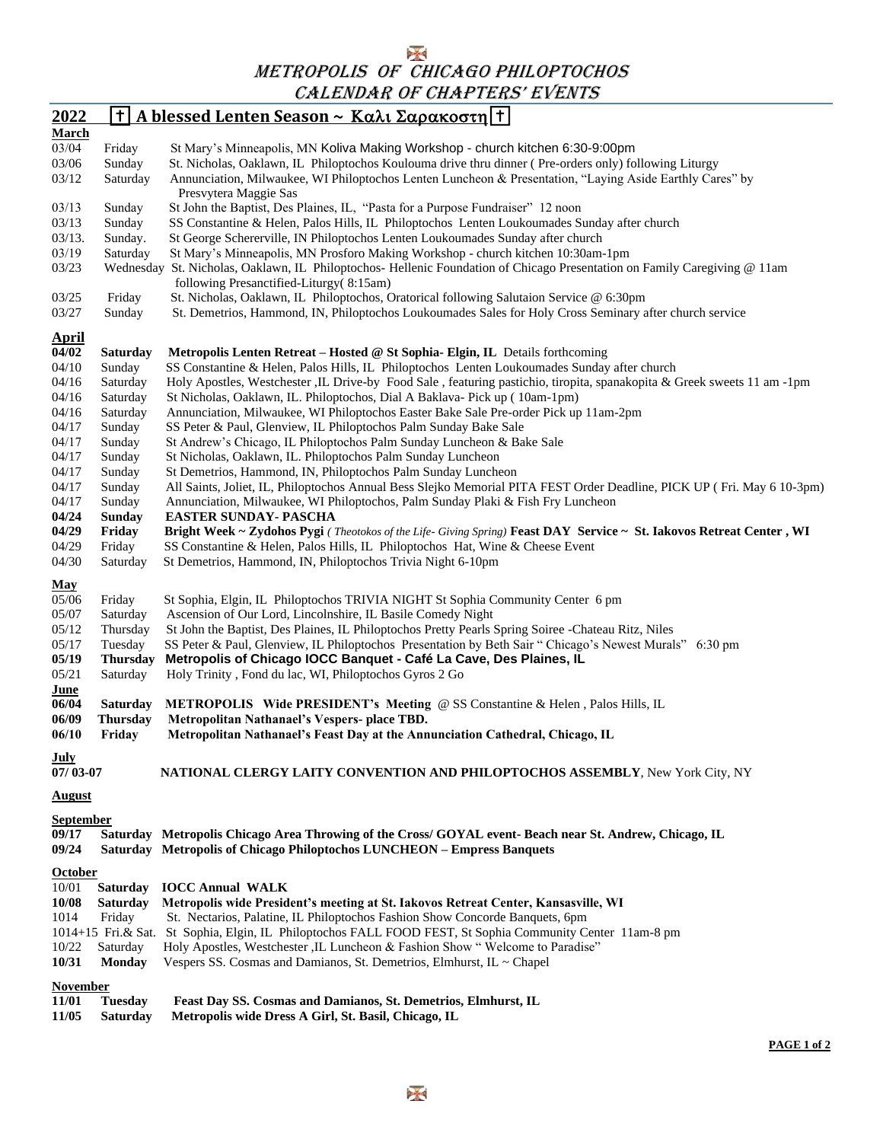METROPOLIS OF CHICAGO PHILOPTOCHOS CALENDAR OF CHAPTERS' EVENTS

| 2022                                                                                      |                                           | <u> † A blessed Lenten Season ~ Καλι Σαρακοστη   †  </u>                                                                                                                                                                                                                                                                                                       |
|-------------------------------------------------------------------------------------------|-------------------------------------------|----------------------------------------------------------------------------------------------------------------------------------------------------------------------------------------------------------------------------------------------------------------------------------------------------------------------------------------------------------------|
| March                                                                                     |                                           |                                                                                                                                                                                                                                                                                                                                                                |
| 03/04                                                                                     | Friday                                    | St Mary's Minneapolis, MN Koliva Making Workshop - church kitchen 6:30-9:00pm                                                                                                                                                                                                                                                                                  |
| 03/06                                                                                     | Sunday                                    | St. Nicholas, Oaklawn, IL Philoptochos Koulouma drive thru dinner (Pre-orders only) following Liturgy                                                                                                                                                                                                                                                          |
| 03/12                                                                                     | Saturday                                  | Annunciation, Milwaukee, WI Philoptochos Lenten Luncheon & Presentation, "Laying Aside Earthly Cares" by                                                                                                                                                                                                                                                       |
|                                                                                           |                                           | Presvytera Maggie Sas                                                                                                                                                                                                                                                                                                                                          |
| 03/13                                                                                     | Sunday                                    | St John the Baptist, Des Plaines, IL, "Pasta for a Purpose Fundraiser" 12 noon                                                                                                                                                                                                                                                                                 |
| 03/13                                                                                     | Sunday                                    | SS Constantine & Helen, Palos Hills, IL Philoptochos Lenten Loukoumades Sunday after church                                                                                                                                                                                                                                                                    |
| $03/13$ .                                                                                 | Sunday.                                   | St George Schererville, IN Philoptochos Lenten Loukoumades Sunday after church                                                                                                                                                                                                                                                                                 |
| 03/19                                                                                     | Saturday                                  | St Mary's Minneapolis, MN Prosforo Making Workshop - church kitchen 10:30am-1pm                                                                                                                                                                                                                                                                                |
| 03/23                                                                                     |                                           | Wednesday St. Nicholas, Oaklawn, IL Philoptochos- Hellenic Foundation of Chicago Presentation on Family Caregiving @ 11am<br>following Presanctified-Liturgy(8:15am)                                                                                                                                                                                           |
| 03/25                                                                                     | Friday                                    | St. Nicholas, Oaklawn, IL Philoptochos, Oratorical following Salutaion Service @ 6:30pm                                                                                                                                                                                                                                                                        |
| 03/27                                                                                     | Sunday                                    | St. Demetrios, Hammond, IN, Philoptochos Loukoumades Sales for Holy Cross Seminary after church service                                                                                                                                                                                                                                                        |
|                                                                                           |                                           |                                                                                                                                                                                                                                                                                                                                                                |
| <b>April</b>                                                                              |                                           |                                                                                                                                                                                                                                                                                                                                                                |
| 04/02                                                                                     | <b>Saturday</b>                           | Metropolis Lenten Retreat - Hosted @ St Sophia- Elgin, IL Details forthcoming                                                                                                                                                                                                                                                                                  |
| 04/10                                                                                     | Sunday                                    | SS Constantine & Helen, Palos Hills, IL Philoptochos Lenten Loukoumades Sunday after church                                                                                                                                                                                                                                                                    |
| 04/16                                                                                     | Saturday                                  | Holy Apostles, Westchester ,IL Drive-by Food Sale, featuring pastichio, tiropita, spanakopita & Greek sweets 11 am -1pm                                                                                                                                                                                                                                        |
| 04/16                                                                                     | Saturday                                  | St Nicholas, Oaklawn, IL. Philoptochos, Dial A Baklava- Pick up (10am-1pm)                                                                                                                                                                                                                                                                                     |
| 04/16                                                                                     | Saturday                                  | Annunciation, Milwaukee, WI Philoptochos Easter Bake Sale Pre-order Pick up 11am-2pm                                                                                                                                                                                                                                                                           |
| 04/17                                                                                     | Sunday                                    | SS Peter & Paul, Glenview, IL Philoptochos Palm Sunday Bake Sale                                                                                                                                                                                                                                                                                               |
| 04/17                                                                                     | Sunday                                    | St Andrew's Chicago, IL Philoptochos Palm Sunday Luncheon & Bake Sale                                                                                                                                                                                                                                                                                          |
| 04/17                                                                                     | Sunday                                    | St Nicholas, Oaklawn, IL. Philoptochos Palm Sunday Luncheon                                                                                                                                                                                                                                                                                                    |
| 04/17                                                                                     | Sunday                                    | St Demetrios, Hammond, IN, Philoptochos Palm Sunday Luncheon                                                                                                                                                                                                                                                                                                   |
| 04/17                                                                                     | Sunday                                    | All Saints, Joliet, IL, Philoptochos Annual Bess Slejko Memorial PITA FEST Order Deadline, PICK UP (Fri. May 6 10-3pm)                                                                                                                                                                                                                                         |
| 04/17                                                                                     | Sunday                                    | Annunciation, Milwaukee, WI Philoptochos, Palm Sunday Plaki & Fish Fry Luncheon                                                                                                                                                                                                                                                                                |
| 04/24                                                                                     | <b>Sunday</b>                             | <b>EASTER SUNDAY- PASCHA</b>                                                                                                                                                                                                                                                                                                                                   |
| 04/29                                                                                     | Friday                                    | Bright Week ~ Zydohos Pygi (Theotokos of the Life- Giving Spring) Feast DAY Service ~ St. Iakovos Retreat Center, WI                                                                                                                                                                                                                                           |
| 04/29                                                                                     | Friday                                    | SS Constantine & Helen, Palos Hills, IL Philoptochos Hat, Wine & Cheese Event                                                                                                                                                                                                                                                                                  |
| 04/30                                                                                     | Saturday                                  | St Demetrios, Hammond, IN, Philoptochos Trivia Night 6-10pm                                                                                                                                                                                                                                                                                                    |
| <b>May</b><br>05/06<br>05/07<br>05/12<br>05/17                                            | Friday<br>Saturday<br>Thursday<br>Tuesday | St Sophia, Elgin, IL Philoptochos TRIVIA NIGHT St Sophia Community Center 6 pm<br>Ascension of Our Lord, Lincolnshire, IL Basile Comedy Night<br>St John the Baptist, Des Plaines, IL Philoptochos Pretty Pearls Spring Soiree - Chateau Ritz, Niles<br>SS Peter & Paul, Glenview, IL Philoptochos Presentation by Beth Sair "Chicago's Newest Murals" 6:30 pm |
| 05/19                                                                                     | <b>Thursday</b>                           | Metropolis of Chicago IOCC Banquet - Café La Cave, Des Plaines, IL                                                                                                                                                                                                                                                                                             |
| 05/21                                                                                     | Saturday                                  | Holy Trinity, Fond du lac, WI, Philoptochos Gyros 2 Go                                                                                                                                                                                                                                                                                                         |
| June                                                                                      |                                           |                                                                                                                                                                                                                                                                                                                                                                |
| 06/04<br>06/09                                                                            | <b>Saturday</b><br><b>Thursday</b>        | METROPOLIS Wide PRESIDENT's Meeting @ SS Constantine & Helen, Palos Hills, IL<br>Metropolitan Nathanael's Vespers- place TBD.                                                                                                                                                                                                                                  |
| 06/10                                                                                     | Friday                                    | Metropolitan Nathanael's Feast Day at the Annunciation Cathedral, Chicago, IL                                                                                                                                                                                                                                                                                  |
| July                                                                                      |                                           |                                                                                                                                                                                                                                                                                                                                                                |
| $07/03 - 07$                                                                              |                                           | NATIONAL CLERGY LAITY CONVENTION AND PHILOPTOCHOS ASSEMBLY, New York City, NY                                                                                                                                                                                                                                                                                  |
|                                                                                           |                                           |                                                                                                                                                                                                                                                                                                                                                                |
| <b>August</b>                                                                             |                                           |                                                                                                                                                                                                                                                                                                                                                                |
| <b>September</b>                                                                          |                                           |                                                                                                                                                                                                                                                                                                                                                                |
| 09/17                                                                                     |                                           | Saturday Metropolis Chicago Area Throwing of the Cross/ GOYAL event-Beach near St. Andrew, Chicago, IL                                                                                                                                                                                                                                                         |
| 09/24                                                                                     |                                           | Saturday Metropolis of Chicago Philoptochos LUNCHEON - Empress Banquets                                                                                                                                                                                                                                                                                        |
|                                                                                           |                                           |                                                                                                                                                                                                                                                                                                                                                                |
| <b>October</b>                                                                            |                                           |                                                                                                                                                                                                                                                                                                                                                                |
| 10/01                                                                                     | <b>Saturday</b>                           | <b>IOCC Annual WALK</b>                                                                                                                                                                                                                                                                                                                                        |
| 10/08                                                                                     | Saturday                                  | Metropolis wide President's meeting at St. Iakovos Retreat Center, Kansasville, WI                                                                                                                                                                                                                                                                             |
| 1014                                                                                      | Friday                                    | St. Nectarios, Palatine, IL Philoptochos Fashion Show Concorde Banquets, 6pm                                                                                                                                                                                                                                                                                   |
|                                                                                           |                                           | 1014+15 Fri. & Sat. St Sophia, Elgin, IL Philoptochos FALL FOOD FEST, St Sophia Community Center 11am-8 pm                                                                                                                                                                                                                                                     |
| 10/22                                                                                     | Saturday                                  | Holy Apostles, Westchester ,IL Luncheon & Fashion Show " Welcome to Paradise"                                                                                                                                                                                                                                                                                  |
| 10/31                                                                                     | Monday                                    | Vespers SS. Cosmas and Damianos, St. Demetrios, Elmhurst, IL ~ Chapel                                                                                                                                                                                                                                                                                          |
| <b>November</b>                                                                           |                                           |                                                                                                                                                                                                                                                                                                                                                                |
| 11/01<br><b>Tuesday</b><br>Feast Day SS. Cosmas and Damianos, St. Demetrios, Elmhurst, IL |                                           |                                                                                                                                                                                                                                                                                                                                                                |
| 11/05                                                                                     | <b>Saturday</b>                           | Metropolis wide Dress A Girl, St. Basil, Chicago, IL                                                                                                                                                                                                                                                                                                           |
|                                                                                           |                                           |                                                                                                                                                                                                                                                                                                                                                                |